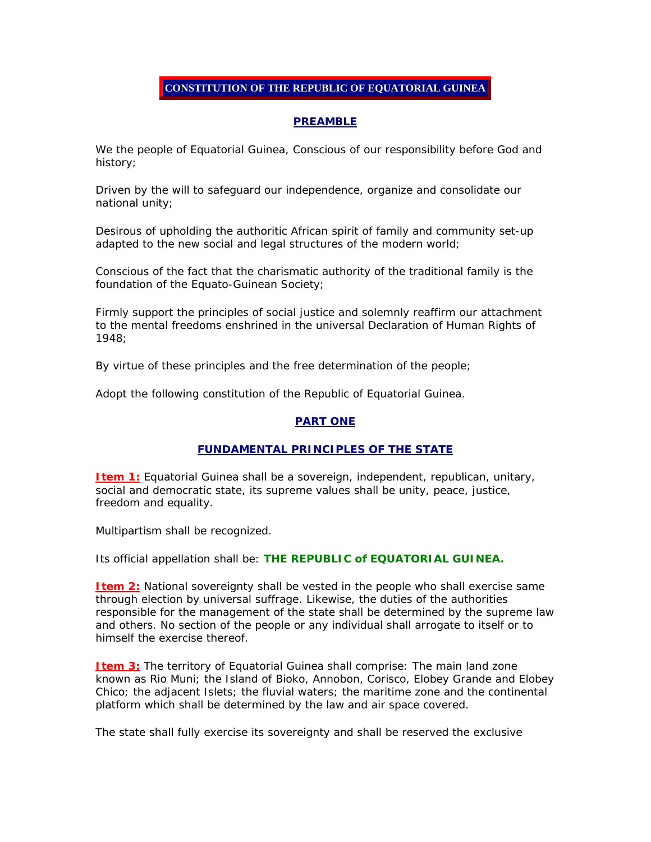# **CONSTITUTION OF THE REPUBLIC OF EQUATORIAL GUINEA**

## **PREAMBLE**

We the people of Equatorial Guinea, Conscious of our responsibility before God and history;

Driven by the will to safeguard our independence, organize and consolidate our national unity;

Desirous of upholding the authoritic African spirit of family and community set-up adapted to the new social and legal structures of the modern world;

Conscious of the fact that the charismatic authority of the traditional family is the foundation of the Equato-Guinean Society;

Firmly support the principles of social justice and solemnly reaffirm our attachment to the mental freedoms enshrined in the universal Declaration of Human Rights of 1948;

By virtue of these principles and the free determination of the people;

Adopt the following constitution of the Republic of Equatorial Guinea.

## **PART ONE**

## **FUNDAMENTAL PRINCIPLES OF THE STATE**

**Item 1:** Equatorial Guinea shall be a sovereign, independent, republican, unitary, social and democratic state, its supreme values shall be unity, peace, justice, freedom and equality.

Multipartism shall be recognized.

Its official appellation shall be: **THE REPUBLIC of EQUATORIAL GUINEA.**

**Item 2:** National sovereignty shall be vested in the people who shall exercise same through election by universal suffrage. Likewise, the duties of the authorities responsible for the management of the state shall be determined by the supreme law and others. No section of the people or any individual shall arrogate to itself or to himself the exercise thereof.

**Item 3:** The territory of Equatorial Guinea shall comprise: The main land zone known as Rio Muni; the Island of Bioko, Annobon, Corisco, Elobey Grande and Elobey Chico; the adjacent Islets; the fluvial waters; the maritime zone and the continental platform which shall be determined by the law and air space covered.

The state shall fully exercise its sovereignty and shall be reserved the exclusive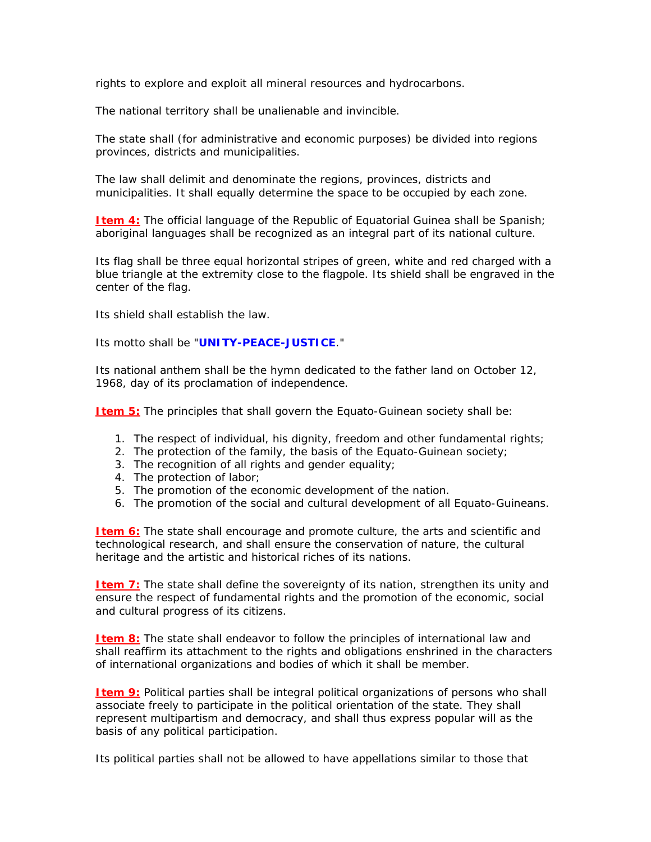rights to explore and exploit all mineral resources and hydrocarbons.

The national territory shall be unalienable and invincible.

The state shall (for administrative and economic purposes) be divided into regions provinces, districts and municipalities.

The law shall delimit and denominate the regions, provinces, districts and municipalities. It shall equally determine the space to be occupied by each zone.

**Item 4:** The official language of the Republic of Equatorial Guinea shall be Spanish; aboriginal languages shall be recognized as an integral part of its national culture.

Its flag shall be three equal horizontal stripes of green, white and red charged with a blue triangle at the extremity close to the flagpole. Its shield shall be engraved in the center of the flag.

Its shield shall establish the law.

Its motto shall be "**UNITY-PEACE-JUSTICE**."

Its national anthem shall be the hymn dedicated to the father land on October 12, 1968, day of its proclamation of independence.

**Item 5:** The principles that shall govern the Equato-Guinean society shall be:

- 1. The respect of individual, his dignity, freedom and other fundamental rights;
- 2. The protection of the family, the basis of the Equato-Guinean society;
- 3. The recognition of all rights and gender equality;
- 4. The protection of labor;
- 5. The promotion of the economic development of the nation.
- 6. The promotion of the social and cultural development of all Equato-Guineans.

**Item 6:** The state shall encourage and promote culture, the arts and scientific and technological research, and shall ensure the conservation of nature, the cultural heritage and the artistic and historical riches of its nations.

**Item 7:** The state shall define the sovereignty of its nation, strengthen its unity and ensure the respect of fundamental rights and the promotion of the economic, social and cultural progress of its citizens.

**Item 8:** The state shall endeavor to follow the principles of international law and shall reaffirm its attachment to the rights and obligations enshrined in the characters of international organizations and bodies of which it shall be member.

**Item 9:** Political parties shall be integral political organizations of persons who shall associate freely to participate in the political orientation of the state. They shall represent multipartism and democracy, and shall thus express popular will as the basis of any political participation.

Its political parties shall not be allowed to have appellations similar to those that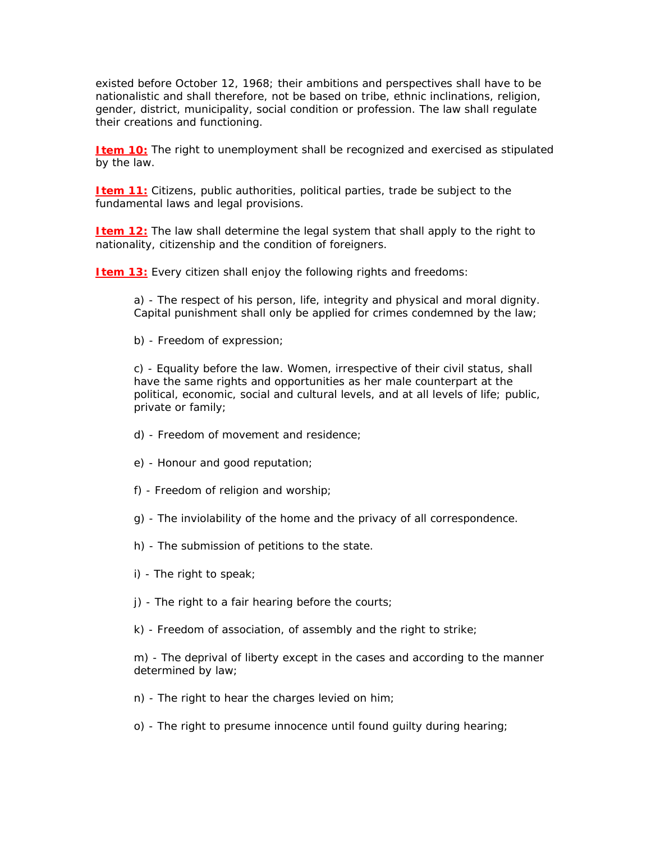existed before October 12, 1968; their ambitions and perspectives shall have to be nationalistic and shall therefore, not be based on tribe, ethnic inclinations, religion, gender, district, municipality, social condition or profession. The law shall regulate their creations and functioning.

**Item 10:** The right to unemployment shall be recognized and exercised as stipulated by the law.

**Item 11:** Citizens, public authorities, political parties, trade be subject to the fundamental laws and legal provisions.

**Item 12:** The law shall determine the legal system that shall apply to the right to nationality, citizenship and the condition of foreigners.

**Item 13:** Every citizen shall enjoy the following rights and freedoms:

a) - The respect of his person, life, integrity and physical and moral dignity. Capital punishment shall only be applied for crimes condemned by the law;

b) - Freedom of expression;

c) - Equality before the law. Women, irrespective of their civil status, shall have the same rights and opportunities as her male counterpart at the political, economic, social and cultural levels, and at all levels of life; public, private or family;

- d) Freedom of movement and residence;
- e) Honour and good reputation;
- f) Freedom of religion and worship;
- g) The inviolability of the home and the privacy of all correspondence.
- h) The submission of petitions to the state.
- i) The right to speak;
- j) The right to a fair hearing before the courts;
- k) Freedom of association, of assembly and the right to strike;

m) - The deprival of liberty except in the cases and according to the manner determined by law;

- n) The right to hear the charges levied on him;
- o) The right to presume innocence until found guilty during hearing;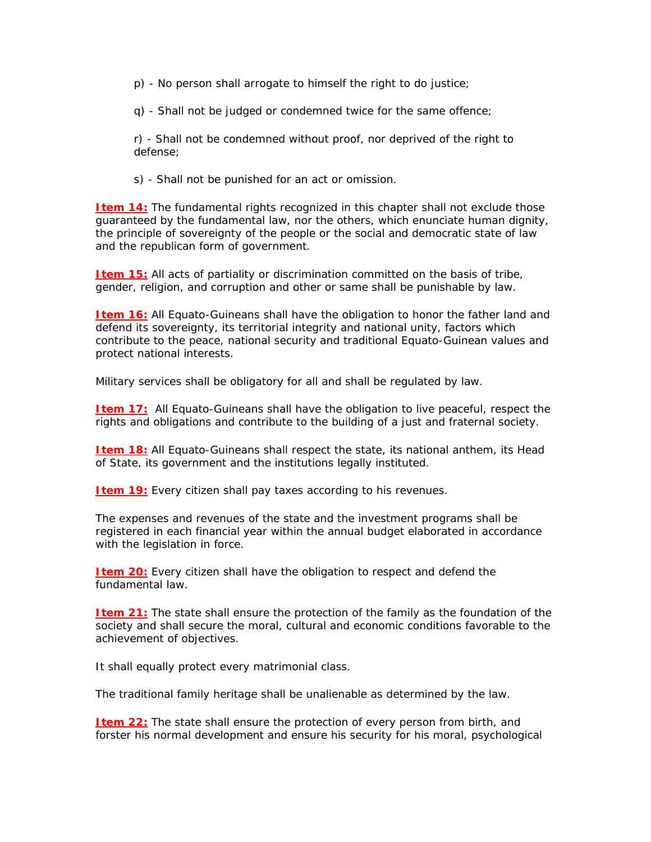p) - No person shall arrogate to himself the right to do justice;

q) - Shall not be judged or condemned twice for the same offence;

r) - Shall not be condemned without proof, nor deprived of the right to defense;

s) - Shall not be punished for an act or omission.

**Item 14:** The fundamental rights recognized in this chapter shall not exclude those guaranteed by the fundamental law, nor the others, which enunciate human dignity, the principle of sovereignty of the people or the social and democratic state of law and the republican form of government.

**Item 15:** All acts of partiality or discrimination committed on the basis of tribe, gender, religion, and corruption and other or same shall be punishable by law.

**Item 16:** All Equato-Guineans shall have the obligation to honor the father land and defend its sovereignty, its territorial integrity and national unity, factors which contribute to the peace, national security and traditional Equato-Guinean values and protect national interests.

Military services shall be obligatory for all and shall be regulated by law.

**Item 17:** All Equato-Guineans shall have the obligation to live peaceful, respect the rights and obligations and contribute to the building of a just and fraternal society.

**Item 18:** All Equato-Guineans shall respect the state, its national anthem, its Head of State, its government and the institutions legally instituted.

**Item 19:** Every citizen shall pay taxes according to his revenues.

The expenses and revenues of the state and the investment programs shall be registered in each financial year within the annual budget elaborated in accordance with the legislation in force.

**Item 20:** Every citizen shall have the obligation to respect and defend the fundamental law.

**Item 21:** The state shall ensure the protection of the family as the foundation of the society and shall secure the moral, cultural and economic conditions favorable to the achievement of objectives.

It shall equally protect every matrimonial class.

The traditional family heritage shall be unalienable as determined by the law.

**Item 22:** The state shall ensure the protection of every person from birth, and forster his normal development and ensure his security for his moral, psychological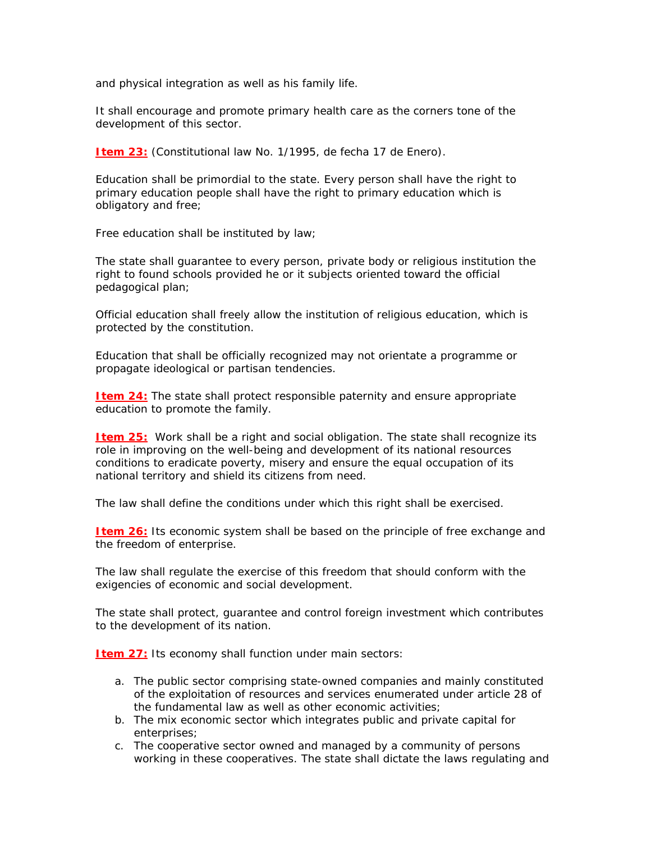and physical integration as well as his family life.

It shall encourage and promote primary health care as the corners tone of the development of this sector.

**Item 23:** (Constitutional law No. 1/1995, de fecha 17 de Enero).

Education shall be primordial to the state. Every person shall have the right to primary education people shall have the right to primary education which is obligatory and free;

Free education shall be instituted by law;

The state shall guarantee to every person, private body or religious institution the right to found schools provided he or it subjects oriented toward the official pedagogical plan;

Official education shall freely allow the institution of religious education, which is protected by the constitution.

Education that shall be officially recognized may not orientate a programme or propagate ideological or partisan tendencies.

**Item 24:** The state shall protect responsible paternity and ensure appropriate education to promote the family.

**Item 25:** Work shall be a right and social obligation. The state shall recognize its role in improving on the well-being and development of its national resources conditions to eradicate poverty, misery and ensure the equal occupation of its national territory and shield its citizens from need.

The law shall define the conditions under which this right shall be exercised.

**Item 26:** Its economic system shall be based on the principle of free exchange and the freedom of enterprise.

The law shall regulate the exercise of this freedom that should conform with the exigencies of economic and social development.

The state shall protect, guarantee and control foreign investment which contributes to the development of its nation.

**Item 27:** Its economy shall function under main sectors:

- a. The public sector comprising state-owned companies and mainly constituted of the exploitation of resources and services enumerated under article 28 of the fundamental law as well as other economic activities;
- b. The mix economic sector which integrates public and private capital for enterprises;
- c. The cooperative sector owned and managed by a community of persons working in these cooperatives. The state shall dictate the laws regulating and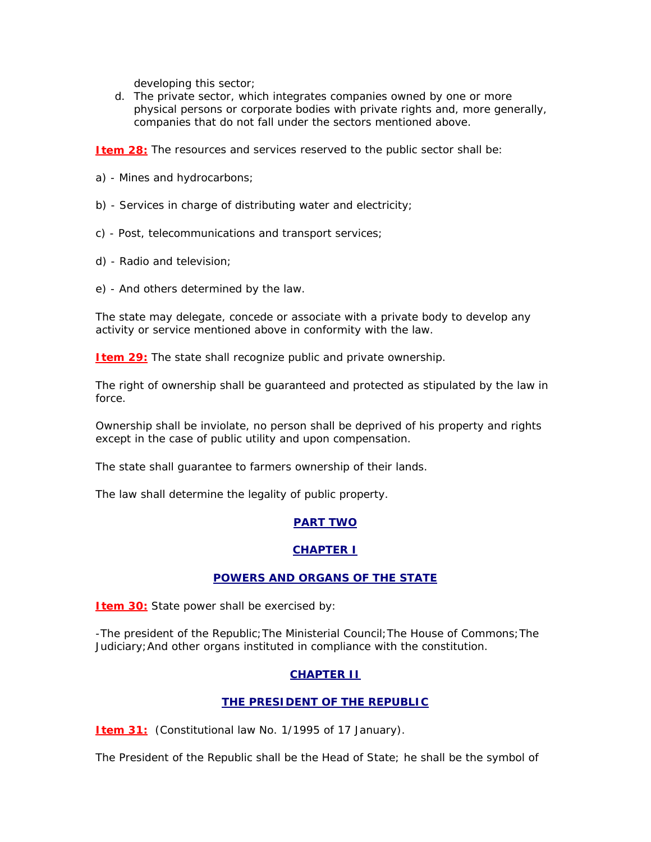developing this sector;

d. The private sector, which integrates companies owned by one or more physical persons or corporate bodies with private rights and, more generally, companies that do not fall under the sectors mentioned above.

**Item 28:** The resources and services reserved to the public sector shall be:

- a) Mines and hydrocarbons;
- b) Services in charge of distributing water and electricity;
- c) Post, telecommunications and transport services;
- d) Radio and television;
- e) And others determined by the law.

The state may delegate, concede or associate with a private body to develop any activity or service mentioned above in conformity with the law.

**Item 29:** The state shall recognize public and private ownership.

The right of ownership shall be guaranteed and protected as stipulated by the law in force.

Ownership shall be inviolate, no person shall be deprived of his property and rights except in the case of public utility and upon compensation.

The state shall guarantee to farmers ownership of their lands.

The law shall determine the legality of public property.

# **PART TWO**

# **CHAPTER I**

# **POWERS AND ORGANS OF THE STATE**

**Item 30:** State power shall be exercised by:

-The president of the Republic;The Ministerial Council;The House of Commons;The Judiciary;And other organs instituted in compliance with the constitution.

# **CHAPTER II**

# **THE PRESIDENT OF THE REPUBLIC**

**Item 31:** (Constitutional law No. 1/1995 of 17 January).

The President of the Republic shall be the Head of State; he shall be the symbol of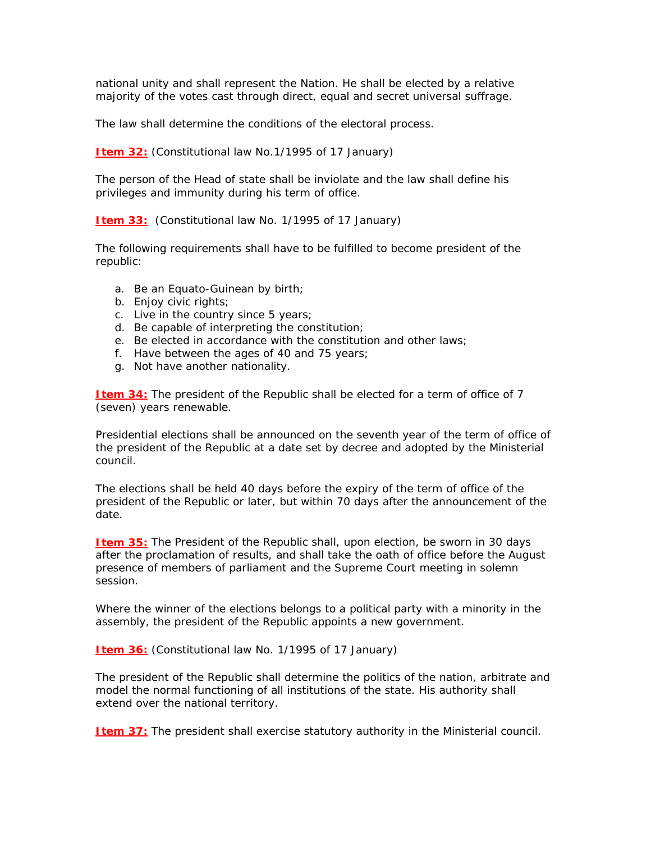national unity and shall represent the Nation. He shall be elected by a relative majority of the votes cast through direct, equal and secret universal suffrage.

The law shall determine the conditions of the electoral process.

**Item 32:** (Constitutional law No.1/1995 of 17 January)

The person of the Head of state shall be inviolate and the law shall define his privileges and immunity during his term of office.

**Item 33:** (Constitutional law No. 1/1995 of 17 January)

The following requirements shall have to be fulfilled to become president of the republic:

- a. Be an Equato-Guinean by birth;
- b. Enjoy civic rights;
- c. Live in the country since 5 years;
- d. Be capable of interpreting the constitution;
- e. Be elected in accordance with the constitution and other laws;
- f. Have between the ages of 40 and 75 years;
- g. Not have another nationality.

**Item 34:** The president of the Republic shall be elected for a term of office of 7 (seven) years renewable.

Presidential elections shall be announced on the seventh year of the term of office of the president of the Republic at a date set by decree and adopted by the Ministerial council.

The elections shall be held 40 days before the expiry of the term of office of the president of the Republic or later, but within 70 days after the announcement of the date.

**Item 35:** The President of the Republic shall, upon election, be sworn in 30 days after the proclamation of results, and shall take the oath of office before the August presence of members of parliament and the Supreme Court meeting in solemn session.

Where the winner of the elections belongs to a political party with a minority in the assembly, the president of the Republic appoints a new government.

**Item 36:** (Constitutional law No. 1/1995 of 17 January)

The president of the Republic shall determine the politics of the nation, arbitrate and model the normal functioning of all institutions of the state. His authority shall extend over the national territory.

**Item 37:** The president shall exercise statutory authority in the Ministerial council.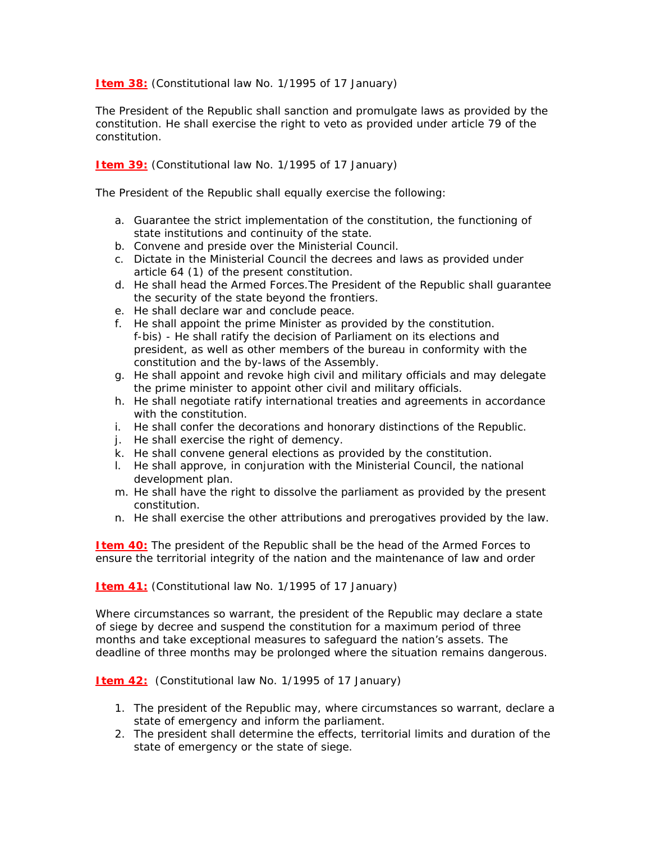**Item 38:** (Constitutional law No. 1/1995 of 17 January)

The President of the Republic shall sanction and promulgate laws as provided by the constitution. He shall exercise the right to veto as provided under article 79 of the constitution.

**Item 39:** (Constitutional law No. 1/1995 of 17 January)

The President of the Republic shall equally exercise the following:

- a. Guarantee the strict implementation of the constitution, the functioning of state institutions and continuity of the state.
- b. Convene and preside over the Ministerial Council.
- c. Dictate in the Ministerial Council the decrees and laws as provided under article 64 (1) of the present constitution.
- d. He shall head the Armed Forces.The President of the Republic shall guarantee the security of the state beyond the frontiers.
- e. He shall declare war and conclude peace.
- f. He shall appoint the prime Minister as provided by the constitution. f-bis) - He shall ratify the decision of Parliament on its elections and president, as well as other members of the bureau in conformity with the constitution and the by-laws of the Assembly.
- g. He shall appoint and revoke high civil and military officials and may delegate the prime minister to appoint other civil and military officials.
- h. He shall negotiate ratify international treaties and agreements in accordance with the constitution.
- i. He shall confer the decorations and honorary distinctions of the Republic.
- j. He shall exercise the right of demency.
- k. He shall convene general elections as provided by the constitution.
- l. He shall approve, in conjuration with the Ministerial Council, the national development plan.
- m. He shall have the right to dissolve the parliament as provided by the present constitution.
- n. He shall exercise the other attributions and prerogatives provided by the law.

**Item 40:** The president of the Republic shall be the head of the Armed Forces to ensure the territorial integrity of the nation and the maintenance of law and order

**Item 41:** (Constitutional law No. 1/1995 of 17 January)

Where circumstances so warrant, the president of the Republic may declare a state of siege by decree and suspend the constitution for a maximum period of three months and take exceptional measures to safeguard the nation's assets. The deadline of three months may be prolonged where the situation remains dangerous.

**Item 42:** (Constitutional law No. 1/1995 of 17 January)

- 1. The president of the Republic may, where circumstances so warrant, declare a state of emergency and inform the parliament.
- 2. The president shall determine the effects, territorial limits and duration of the state of emergency or the state of siege.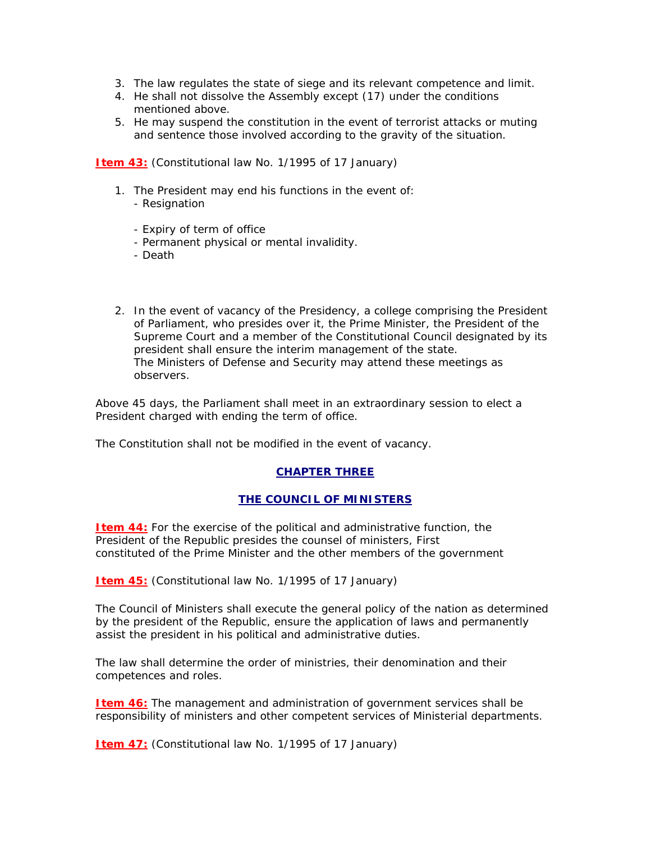- 3. The law regulates the state of siege and its relevant competence and limit.
- 4. He shall not dissolve the Assembly except (17) under the conditions mentioned above.
- 5. He may suspend the constitution in the event of terrorist attacks or muting and sentence those involved according to the gravity of the situation.

**Item 43:** (Constitutional law No. 1/1995 of 17 January)

- 1. The President may end his functions in the event of: - Resignation
	- Expiry of term of office
	- Permanent physical or mental invalidity.
	- Death
- 2. In the event of vacancy of the Presidency, a college comprising the President of Parliament, who presides over it, the Prime Minister, the President of the Supreme Court and a member of the Constitutional Council designated by its president shall ensure the interim management of the state. The Ministers of Defense and Security may attend these meetings as observers.

Above 45 days, the Parliament shall meet in an extraordinary session to elect a President charged with ending the term of office.

The Constitution shall not be modified in the event of vacancy.

## **CHAPTER THREE**

## **THE COUNCIL OF MINISTERS**

**Item 44:** For the exercise of the political and administrative function, the President of the Republic presides the counsel of ministers, First constituted of the Prime Minister and the other members of the government

**Item 45:** (Constitutional law No. 1/1995 of 17 January)

The Council of Ministers shall execute the general policy of the nation as determined by the president of the Republic, ensure the application of laws and permanently assist the president in his political and administrative duties.

The law shall determine the order of ministries, their denomination and their competences and roles.

**Item 46:** The management and administration of government services shall be responsibility of ministers and other competent services of Ministerial departments.

**Item 47:** (Constitutional law No. 1/1995 of 17 January)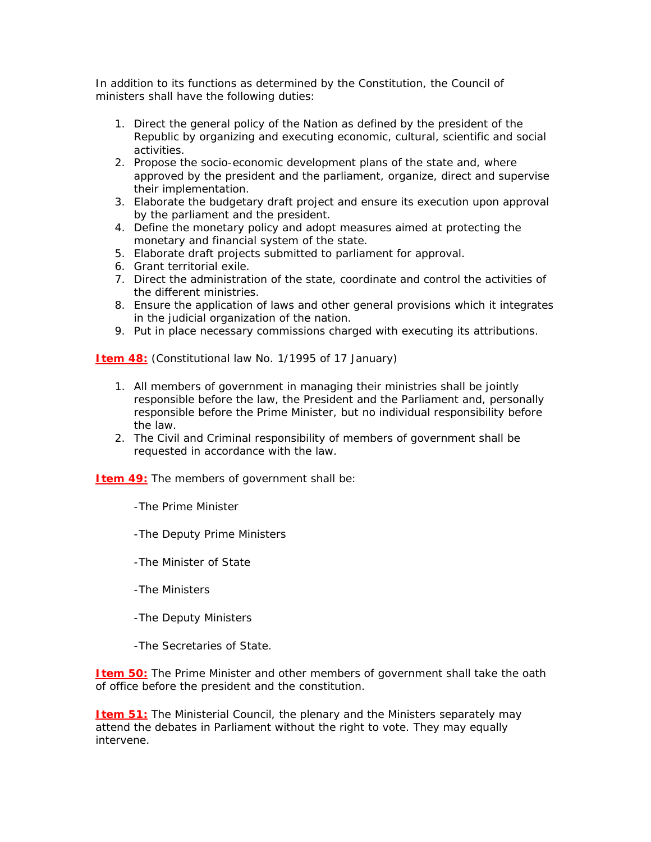In addition to its functions as determined by the Constitution, the Council of ministers shall have the following duties:

- 1. Direct the general policy of the Nation as defined by the president of the Republic by organizing and executing economic, cultural, scientific and social activities.
- 2. Propose the socio-economic development plans of the state and, where approved by the president and the parliament, organize, direct and supervise their implementation.
- 3. Elaborate the budgetary draft project and ensure its execution upon approval by the parliament and the president.
- 4. Define the monetary policy and adopt measures aimed at protecting the monetary and financial system of the state.
- 5. Elaborate draft projects submitted to parliament for approval.
- 6. Grant territorial exile.
- 7. Direct the administration of the state, coordinate and control the activities of the different ministries.
- 8. Ensure the application of laws and other general provisions which it integrates in the judicial organization of the nation.
- 9. Put in place necessary commissions charged with executing its attributions.

**Item 48:** (Constitutional law No. 1/1995 of 17 January)

- 1. All members of government in managing their ministries shall be jointly responsible before the law, the President and the Parliament and, personally responsible before the Prime Minister, but no individual responsibility before the law.
- 2. The Civil and Criminal responsibility of members of government shall be requested in accordance with the law.

**Item 49:** The members of government shall be:

- -The Prime Minister
- -The Deputy Prime Ministers
- -The Minister of State
- -The Ministers
- -The Deputy Ministers
- -The Secretaries of State.

**Item 50:** The Prime Minister and other members of government shall take the oath of office before the president and the constitution.

**Item 51:** The Ministerial Council, the plenary and the Ministers separately may attend the debates in Parliament without the right to vote. They may equally intervene.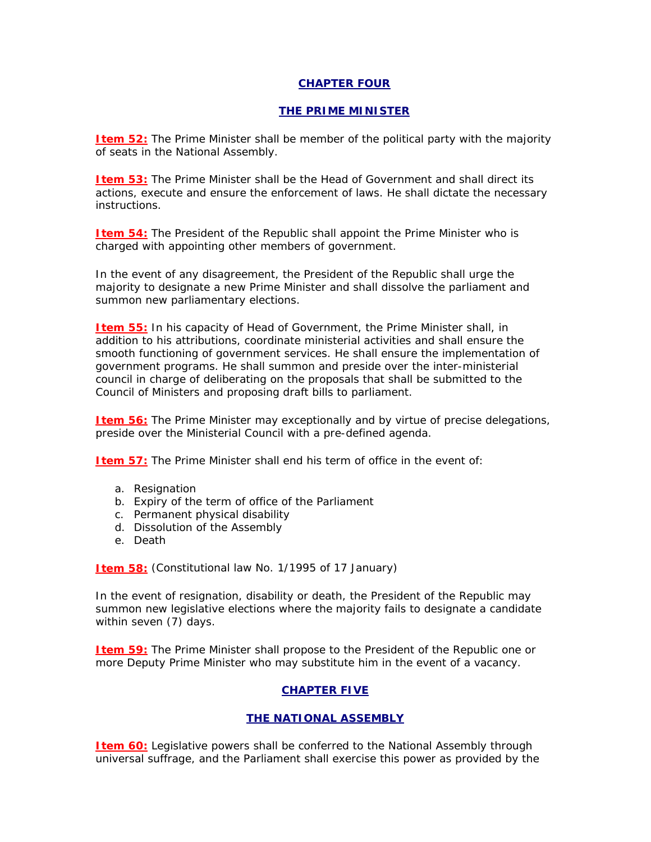### **CHAPTER FOUR**

### **THE PRIME MINISTER**

**Item 52:** The Prime Minister shall be member of the political party with the majority of seats in the National Assembly.

**Item 53:** The Prime Minister shall be the Head of Government and shall direct its actions, execute and ensure the enforcement of laws. He shall dictate the necessary instructions.

**Item 54:** The President of the Republic shall appoint the Prime Minister who is charged with appointing other members of government.

In the event of any disagreement, the President of the Republic shall urge the majority to designate a new Prime Minister and shall dissolve the parliament and summon new parliamentary elections.

**Item 55:** In his capacity of Head of Government, the Prime Minister shall, in addition to his attributions, coordinate ministerial activities and shall ensure the smooth functioning of government services. He shall ensure the implementation of government programs. He shall summon and preside over the inter-ministerial council in charge of deliberating on the proposals that shall be submitted to the Council of Ministers and proposing draft bills to parliament.

**Item 56:** The Prime Minister may exceptionally and by virtue of precise delegations, preside over the Ministerial Council with a pre-defined agenda.

**Item 57:** The Prime Minister shall end his term of office in the event of:

- a. Resignation
- b. Expiry of the term of office of the Parliament
- c. Permanent physical disability
- d. Dissolution of the Assembly
- e. Death

**Item 58:** (Constitutional law No. 1/1995 of 17 January)

In the event of resignation, disability or death, the President of the Republic may summon new legislative elections where the majority fails to designate a candidate within seven (7) days.

**Item 59:** The Prime Minister shall propose to the President of the Republic one or more Deputy Prime Minister who may substitute him in the event of a vacancy.

## **CHAPTER FIVE**

## **THE NATIONAL ASSEMBLY**

**Item 60:** Legislative powers shall be conferred to the National Assembly through universal suffrage, and the Parliament shall exercise this power as provided by the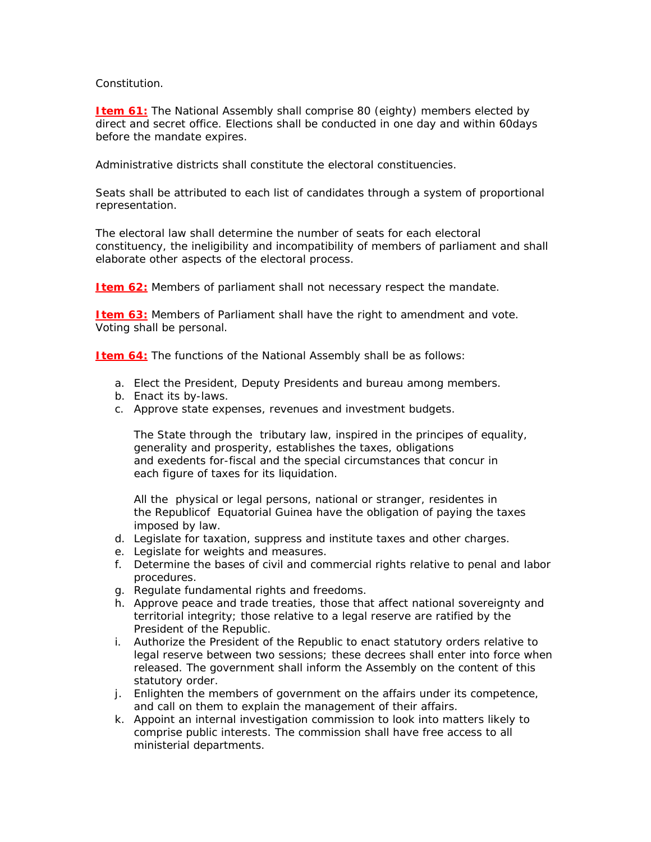### Constitution.

**Item 61:** The National Assembly shall comprise 80 (eighty) members elected by direct and secret office. Elections shall be conducted in one day and within 60days before the mandate expires.

Administrative districts shall constitute the electoral constituencies.

Seats shall be attributed to each list of candidates through a system of proportional representation.

The electoral law shall determine the number of seats for each electoral constituency, the ineligibility and incompatibility of members of parliament and shall elaborate other aspects of the electoral process.

**Item 62:** Members of parliament shall not necessary respect the mandate.

**Item 63:** Members of Parliament shall have the right to amendment and vote. Voting shall be personal.

**Item 64:** The functions of the National Assembly shall be as follows:

- a. Elect the President, Deputy Presidents and bureau among members.
- b. Enact its by-laws.
- c. Approve state expenses, revenues and investment budgets.

The State through the tributary law, inspired in the principes of equality, generality and prosperity, establishes the taxes, obligations and exedents for-fiscal and the special circumstances that concur in each figure of taxes for its liquidation.

All the physical or legal persons, national or stranger, residentes in the Republicof Equatorial Guinea have the obligation of paying the taxes imposed by law.

- d. Legislate for taxation, suppress and institute taxes and other charges.
- e. Legislate for weights and measures.
- f. Determine the bases of civil and commercial rights relative to penal and labor procedures.
- g. Regulate fundamental rights and freedoms.
- h. Approve peace and trade treaties, those that affect national sovereignty and territorial integrity; those relative to a legal reserve are ratified by the President of the Republic.
- i. Authorize the President of the Republic to enact statutory orders relative to legal reserve between two sessions; these decrees shall enter into force when released. The government shall inform the Assembly on the content of this statutory order.
- j. Enlighten the members of government on the affairs under its competence, and call on them to explain the management of their affairs.
- k. Appoint an internal investigation commission to look into matters likely to comprise public interests. The commission shall have free access to all ministerial departments.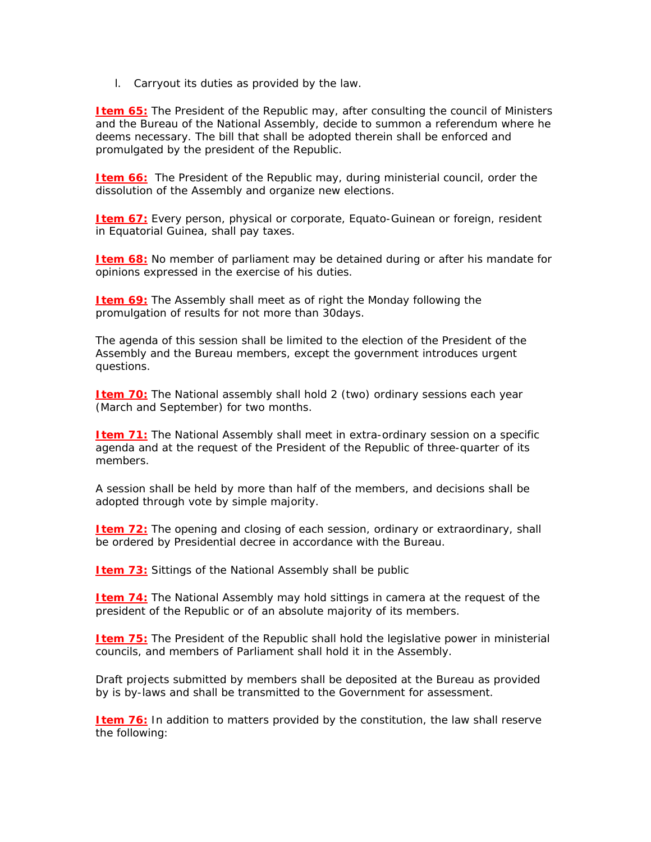l. Carryout its duties as provided by the law.

**Item 65:** The President of the Republic may, after consulting the council of Ministers and the Bureau of the National Assembly, decide to summon a referendum where he deems necessary. The bill that shall be adopted therein shall be enforced and promulgated by the president of the Republic.

**Item 66:** The President of the Republic may, during ministerial council, order the dissolution of the Assembly and organize new elections.

**Item 67:** Every person, physical or corporate, Equato-Guinean or foreign, resident in Equatorial Guinea, shall pay taxes.

**Item 68:** No member of parliament may be detained during or after his mandate for opinions expressed in the exercise of his duties.

**Item 69:** The Assembly shall meet as of right the Monday following the promulgation of results for not more than 30days.

The agenda of this session shall be limited to the election of the President of the Assembly and the Bureau members, except the government introduces urgent questions.

**Item 70:** The National assembly shall hold 2 (two) ordinary sessions each year (March and September) for two months.

**Item 71:** The National Assembly shall meet in extra-ordinary session on a specific agenda and at the request of the President of the Republic of three-quarter of its members.

A session shall be held by more than half of the members, and decisions shall be adopted through vote by simple majority.

**Item 72:** The opening and closing of each session, ordinary or extraordinary, shall be ordered by Presidential decree in accordance with the Bureau.

**Item 73:** Sittings of the National Assembly shall be public

**Item 74:** The National Assembly may hold sittings in camera at the request of the president of the Republic or of an absolute majority of its members.

**Item 75:** The President of the Republic shall hold the legislative power in ministerial councils, and members of Parliament shall hold it in the Assembly.

Draft projects submitted by members shall be deposited at the Bureau as provided by is by-laws and shall be transmitted to the Government for assessment.

**Item 76:** In addition to matters provided by the constitution, the law shall reserve the following: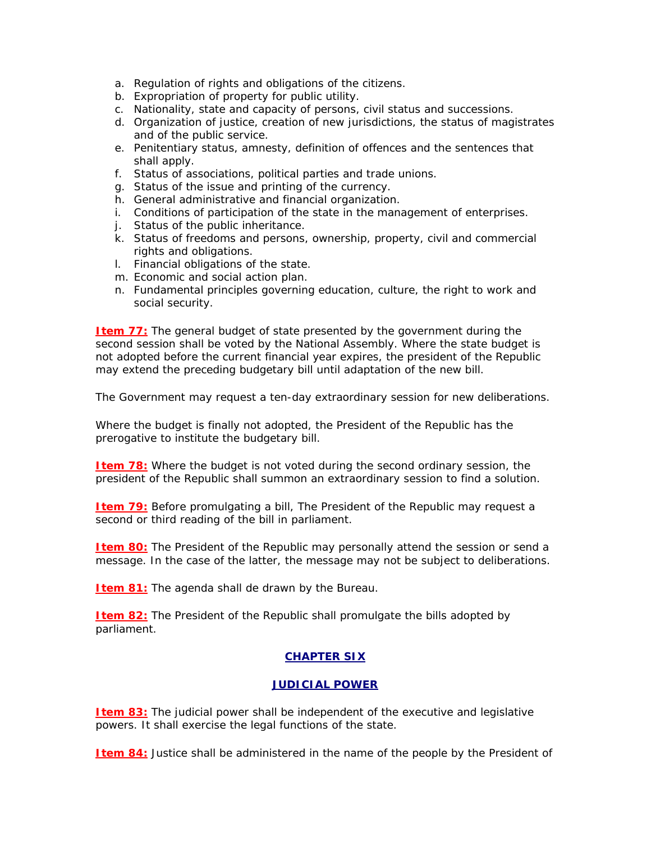- a. Regulation of rights and obligations of the citizens.
- b. Expropriation of property for public utility.
- c. Nationality, state and capacity of persons, civil status and successions.
- d. Organization of justice, creation of new jurisdictions, the status of magistrates and of the public service.
- e. Penitentiary status, amnesty, definition of offences and the sentences that shall apply.
- f. Status of associations, political parties and trade unions.
- g. Status of the issue and printing of the currency.
- h. General administrative and financial organization.
- i. Conditions of participation of the state in the management of enterprises.
- j. Status of the public inheritance.
- k. Status of freedoms and persons, ownership, property, civil and commercial rights and obligations.
- l. Financial obligations of the state.
- m. Economic and social action plan.
- n. Fundamental principles governing education, culture, the right to work and social security.

**Item 77:** The general budget of state presented by the government during the second session shall be voted by the National Assembly. Where the state budget is not adopted before the current financial year expires, the president of the Republic may extend the preceding budgetary bill until adaptation of the new bill.

The Government may request a ten-day extraordinary session for new deliberations.

Where the budget is finally not adopted, the President of the Republic has the prerogative to institute the budgetary bill.

**Item 78:** Where the budget is not voted during the second ordinary session, the president of the Republic shall summon an extraordinary session to find a solution.

**Item 79:** Before promulgating a bill, The President of the Republic may request a second or third reading of the bill in parliament.

**Item 80:** The President of the Republic may personally attend the session or send a message. In the case of the latter, the message may not be subject to deliberations.

**Item 81:** The agenda shall de drawn by the Bureau.

**Item 82:** The President of the Republic shall promulgate the bills adopted by parliament.

## **CHAPTER SIX**

## **JUDICIAL POWER**

**Item 83:** The judicial power shall be independent of the executive and legislative powers. It shall exercise the legal functions of the state.

**Item 84:** Justice shall be administered in the name of the people by the President of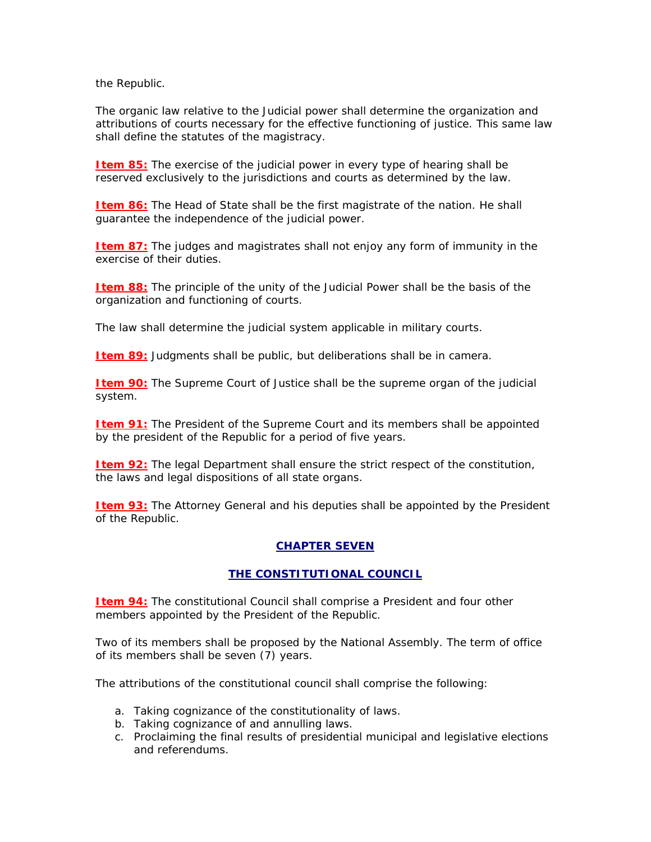the Republic.

The organic law relative to the Judicial power shall determine the organization and attributions of courts necessary for the effective functioning of justice. This same law shall define the statutes of the magistracy.

**Item 85:** The exercise of the judicial power in every type of hearing shall be reserved exclusively to the jurisdictions and courts as determined by the law.

**Item 86:** The Head of State shall be the first magistrate of the nation. He shall guarantee the independence of the judicial power.

**Item 87:** The judges and magistrates shall not enjoy any form of immunity in the exercise of their duties.

**Item 88:** The principle of the unity of the Judicial Power shall be the basis of the organization and functioning of courts.

The law shall determine the judicial system applicable in military courts.

**Item 89:** Judgments shall be public, but deliberations shall be in camera.

**Item 90:** The Supreme Court of Justice shall be the supreme organ of the judicial system.

**Item 91:** The President of the Supreme Court and its members shall be appointed by the president of the Republic for a period of five years.

**Item 92:** The legal Department shall ensure the strict respect of the constitution, the laws and legal dispositions of all state organs.

**Item 93:** The Attorney General and his deputies shall be appointed by the President of the Republic.

# **CHAPTER SEVEN**

## **THE CONSTITUTIONAL COUNCIL**

**Item 94:** The constitutional Council shall comprise a President and four other members appointed by the President of the Republic.

Two of its members shall be proposed by the National Assembly. The term of office of its members shall be seven (7) years.

The attributions of the constitutional council shall comprise the following:

- a. Taking cognizance of the constitutionality of laws.
- b. Taking cognizance of and annulling laws.
- c. Proclaiming the final results of presidential municipal and legislative elections and referendums.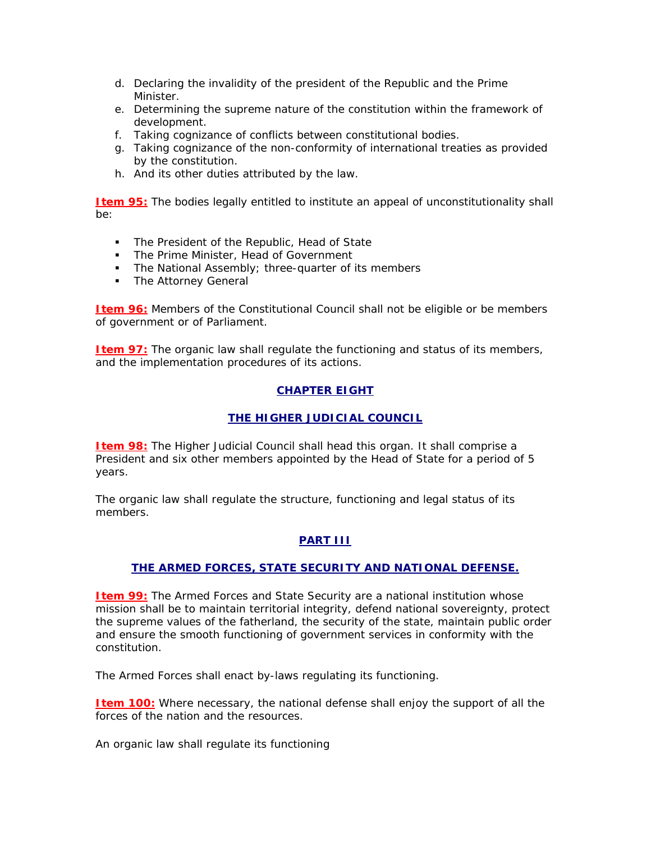- d. Declaring the invalidity of the president of the Republic and the Prime Minister.
- e. Determining the supreme nature of the constitution within the framework of development.
- f. Taking cognizance of conflicts between constitutional bodies.
- g. Taking cognizance of the non-conformity of international treaties as provided by the constitution.
- h. And its other duties attributed by the law.

**Item 95:** The bodies legally entitled to institute an appeal of unconstitutionality shall be:

- **The President of the Republic, Head of State**
- The Prime Minister, Head of Government
- The National Assembly; three-quarter of its members
- **The Attorney General**

**Item 96:** Members of the Constitutional Council shall not be eligible or be members of government or of Parliament.

**Item 97:** The organic law shall regulate the functioning and status of its members, and the implementation procedures of its actions.

## **CHAPTER EIGHT**

### **THE HIGHER JUDICIAL COUNCIL**

**Item 98:** The Higher Judicial Council shall head this organ. It shall comprise a President and six other members appointed by the Head of State for a period of 5 years.

The organic law shall regulate the structure, functioning and legal status of its members.

## **PART III**

## **THE ARMED FORCES, STATE SECURITY AND NATIONAL DEFENSE.**

**Item 99:** The Armed Forces and State Security are a national institution whose mission shall be to maintain territorial integrity, defend national sovereignty, protect the supreme values of the fatherland, the security of the state, maintain public order and ensure the smooth functioning of government services in conformity with the constitution.

The Armed Forces shall enact by-laws regulating its functioning.

**Item 100:** Where necessary, the national defense shall enjoy the support of all the forces of the nation and the resources.

An organic law shall regulate its functioning